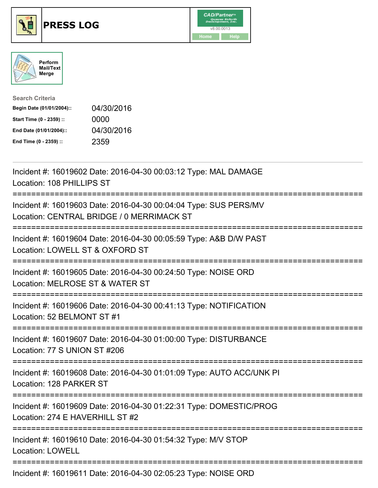

## **PRESS LOG** v8.00.0013





| <b>Search Criteria</b>    |            |
|---------------------------|------------|
| Begin Date (01/01/2004):: | 04/30/2016 |
| Start Time (0 - 2359) ::  | 0000       |
| End Date (01/01/2004)::   | 04/30/2016 |
| End Time (0 - 2359) ::    | 2359       |

Incident #: 16019602 Date: 2016-04-30 00:03:12 Type: MAL DAMAGE Location: 108 PHILLIPS ST =========================================================================== Incident #: 16019603 Date: 2016-04-30 00:04:04 Type: SUS PERS/MV Location: CENTRAL BRIDGE / 0 MERRIMACK ST =========================================================================== Incident #: 16019604 Date: 2016-04-30 00:05:59 Type: A&B D/W PAST Location: LOWELL ST & OXFORD ST =========================================================================== Incident #: 16019605 Date: 2016-04-30 00:24:50 Type: NOISE ORD Location: MELROSE ST & WATER ST =========================================================================== Incident #: 16019606 Date: 2016-04-30 00:41:13 Type: NOTIFICATION Location: 52 BELMONT ST #1 =========================================================================== Incident #: 16019607 Date: 2016-04-30 01:00:00 Type: DISTURBANCE Location: 77 S UNION ST #206 =========================================================================== Incident #: 16019608 Date: 2016-04-30 01:01:09 Type: AUTO ACC/UNK PI Location: 128 PARKER ST =========================================================================== Incident #: 16019609 Date: 2016-04-30 01:22:31 Type: DOMESTIC/PROG Location: 274 E HAVERHILL ST #2 =========================================================================== Incident #: 16019610 Date: 2016-04-30 01:54:32 Type: M/V STOP Location: LOWELL =========================================================================== Incident #: 16019611 Date: 2016-04-30 02:05:23 Type: NOISE ORD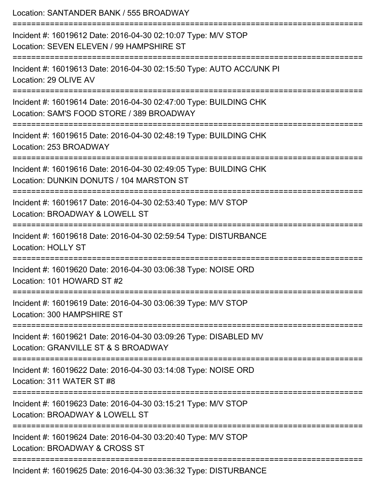| Location: SANTANDER BANK / 555 BROADWAY                                                                                                              |
|------------------------------------------------------------------------------------------------------------------------------------------------------|
| Incident #: 16019612 Date: 2016-04-30 02:10:07 Type: M/V STOP<br>Location: SEVEN ELEVEN / 99 HAMPSHIRE ST                                            |
| Incident #: 16019613 Date: 2016-04-30 02:15:50 Type: AUTO ACC/UNK PI<br>Location: 29 OLIVE AV                                                        |
| Incident #: 16019614 Date: 2016-04-30 02:47:00 Type: BUILDING CHK<br>Location: SAM'S FOOD STORE / 389 BROADWAY<br>================================== |
| Incident #: 16019615 Date: 2016-04-30 02:48:19 Type: BUILDING CHK<br>Location: 253 BROADWAY                                                          |
| Incident #: 16019616 Date: 2016-04-30 02:49:05 Type: BUILDING CHK<br>Location: DUNKIN DONUTS / 104 MARSTON ST<br>===================                 |
| Incident #: 16019617 Date: 2016-04-30 02:53:40 Type: M/V STOP<br>Location: BROADWAY & LOWELL ST                                                      |
| Incident #: 16019618 Date: 2016-04-30 02:59:54 Type: DISTURBANCE<br><b>Location: HOLLY ST</b>                                                        |
| Incident #: 16019620 Date: 2016-04-30 03:06:38 Type: NOISE ORD<br>Location: 101 HOWARD ST #2                                                         |
| Incident #: 16019619 Date: 2016-04-30 03:06:39 Type: M/V STOP<br>Location: 300 HAMPSHIRE ST                                                          |
| Incident #: 16019621 Date: 2016-04-30 03:09:26 Type: DISABLED MV<br>Location: GRANVILLE ST & S BROADWAY                                              |
| Incident #: 16019622 Date: 2016-04-30 03:14:08 Type: NOISE ORD<br>Location: 311 WATER ST #8                                                          |
| Incident #: 16019623 Date: 2016-04-30 03:15:21 Type: M/V STOP<br>Location: BROADWAY & LOWELL ST                                                      |
| Incident #: 16019624 Date: 2016-04-30 03:20:40 Type: M/V STOP<br>Location: BROADWAY & CROSS ST                                                       |
| Incident #: 16019625 Date: 2016-04-30 03:36:32 Type: DISTURBANCE                                                                                     |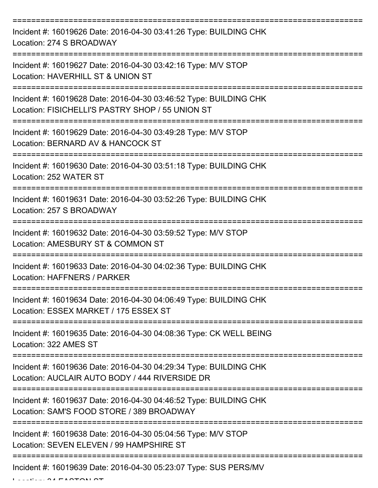=========================================================================== Incident #: 16019626 Date: 2016-04-30 03:41:26 Type: BUILDING CHK Location: 274 S BROADWAY =========================================================================== Incident #: 16019627 Date: 2016-04-30 03:42:16 Type: M/V STOP Location: HAVERHILL ST & UNION ST =========================================================================== Incident #: 16019628 Date: 2016-04-30 03:46:52 Type: BUILDING CHK Location: FISICHELLI'S PASTRY SHOP / 55 UNION ST =========================================================================== Incident #: 16019629 Date: 2016-04-30 03:49:28 Type: M/V STOP Location: BERNARD AV & HANCOCK ST =========================================================================== Incident #: 16019630 Date: 2016-04-30 03:51:18 Type: BUILDING CHK Location: 252 WATER ST =========================================================================== Incident #: 16019631 Date: 2016-04-30 03:52:26 Type: BUILDING CHK Location: 257 S BROADWAY =========================================================================== Incident #: 16019632 Date: 2016-04-30 03:59:52 Type: M/V STOP Location: AMESBURY ST & COMMON ST =========================================================================== Incident #: 16019633 Date: 2016-04-30 04:02:36 Type: BUILDING CHK Location: HAFFNERS / PARKER =========================================================================== Incident #: 16019634 Date: 2016-04-30 04:06:49 Type: BUILDING CHK Location: ESSEX MARKET / 175 ESSEX ST =========================================================================== Incident #: 16019635 Date: 2016-04-30 04:08:36 Type: CK WELL BEING Location: 322 AMES ST =========================================================================== Incident #: 16019636 Date: 2016-04-30 04:29:34 Type: BUILDING CHK Location: AUCLAIR AUTO BODY / 444 RIVERSIDE DR =========================================================================== Incident #: 16019637 Date: 2016-04-30 04:46:52 Type: BUILDING CHK Location: SAM'S FOOD STORE / 389 BROADWAY =========================================================================== Incident #: 16019638 Date: 2016-04-30 05:04:56 Type: M/V STOP Location: SEVEN ELEVEN / 99 HAMPSHIRE ST =========================================================================== Incident #: 16019639 Date: 2016-04-30 05:23:07 Type: SUS PERS/MV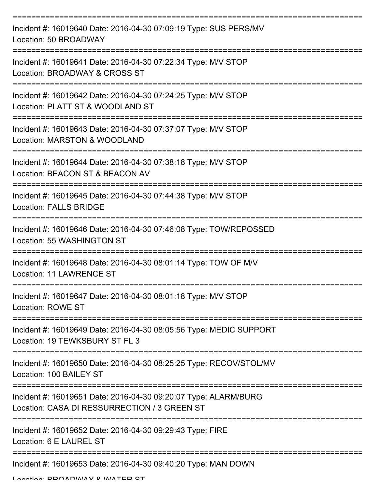| Incident #: 16019640 Date: 2016-04-30 07:09:19 Type: SUS PERS/MV<br>Location: 50 BROADWAY                       |
|-----------------------------------------------------------------------------------------------------------------|
| Incident #: 16019641 Date: 2016-04-30 07:22:34 Type: M/V STOP<br>Location: BROADWAY & CROSS ST                  |
| Incident #: 16019642 Date: 2016-04-30 07:24:25 Type: M/V STOP<br>Location: PLATT ST & WOODLAND ST               |
| Incident #: 16019643 Date: 2016-04-30 07:37:07 Type: M/V STOP<br>Location: MARSTON & WOODLAND                   |
| Incident #: 16019644 Date: 2016-04-30 07:38:18 Type: M/V STOP<br>Location: BEACON ST & BEACON AV                |
| Incident #: 16019645 Date: 2016-04-30 07:44:38 Type: M/V STOP<br><b>Location: FALLS BRIDGE</b>                  |
| Incident #: 16019646 Date: 2016-04-30 07:46:08 Type: TOW/REPOSSED<br>Location: 55 WASHINGTON ST                 |
| Incident #: 16019648 Date: 2016-04-30 08:01:14 Type: TOW OF M/V<br>Location: 11 LAWRENCE ST                     |
| Incident #: 16019647 Date: 2016-04-30 08:01:18 Type: M/V STOP<br><b>Location: ROWE ST</b>                       |
| Incident #: 16019649 Date: 2016-04-30 08:05:56 Type: MEDIC SUPPORT<br>Location: 19 TEWKSBURY ST FL 3            |
| Incident #: 16019650 Date: 2016-04-30 08:25:25 Type: RECOV/STOL/MV<br>Location: 100 BAILEY ST                   |
| Incident #: 16019651 Date: 2016-04-30 09:20:07 Type: ALARM/BURG<br>Location: CASA DI RESSURRECTION / 3 GREEN ST |
| Incident #: 16019652 Date: 2016-04-30 09:29:43 Type: FIRE<br>Location: 6 E LAUREL ST                            |
| Incident #: 16019653 Date: 2016-04-30 09:40:20 Type: MAN DOWN                                                   |

Location: BDOADWAY & WATED ST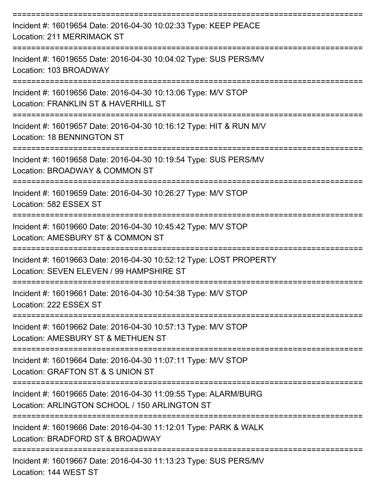| Incident #: 16019654 Date: 2016-04-30 10:02:33 Type: KEEP PEACE<br><b>Location: 211 MERRIMACK ST</b>                     |
|--------------------------------------------------------------------------------------------------------------------------|
| Incident #: 16019655 Date: 2016-04-30 10:04:02 Type: SUS PERS/MV<br>Location: 103 BROADWAY                               |
| Incident #: 16019656 Date: 2016-04-30 10:13:06 Type: M/V STOP<br>Location: FRANKLIN ST & HAVERHILL ST                    |
| Incident #: 16019657 Date: 2016-04-30 10:16:12 Type: HIT & RUN M/V<br>Location: 18 BENNINGTON ST                         |
| Incident #: 16019658 Date: 2016-04-30 10:19:54 Type: SUS PERS/MV<br>Location: BROADWAY & COMMON ST                       |
| Incident #: 16019659 Date: 2016-04-30 10:26:27 Type: M/V STOP<br>Location: 582 ESSEX ST                                  |
| ==================<br>Incident #: 16019660 Date: 2016-04-30 10:45:42 Type: M/V STOP<br>Location: AMESBURY ST & COMMON ST |
| Incident #: 16019663 Date: 2016-04-30 10:52:12 Type: LOST PROPERTY<br>Location: SEVEN ELEVEN / 99 HAMPSHIRE ST           |
| Incident #: 16019661 Date: 2016-04-30 10:54:38 Type: M/V STOP<br>Location: 222 ESSEX ST                                  |
| Incident #: 16019662 Date: 2016-04-30 10:57:13 Type: M/V STOP<br>Location: AMESBURY ST & METHUEN ST                      |
| Incident #: 16019664 Date: 2016-04-30 11:07:11 Type: M/V STOP<br>Location: GRAFTON ST & S UNION ST                       |
| Incident #: 16019665 Date: 2016-04-30 11:09:55 Type: ALARM/BURG<br>Location: ARLINGTON SCHOOL / 150 ARLINGTON ST         |
| Incident #: 16019666 Date: 2016-04-30 11:12:01 Type: PARK & WALK<br>Location: BRADFORD ST & BROADWAY                     |
| -------------------<br>Incident #: 16019667 Date: 2016-04-30 11:13:23 Type: SUS PERS/MV                                  |

Location: 144 WEST ST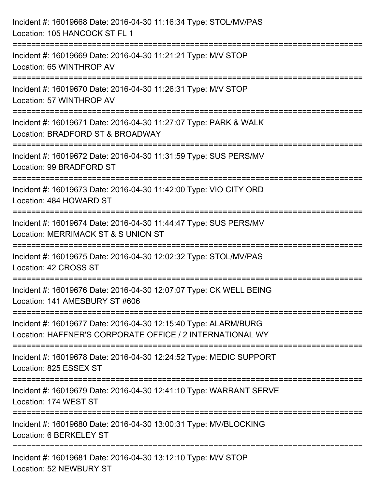| Incident #: 16019668 Date: 2016-04-30 11:16:34 Type: STOL/MV/PAS<br>Location: 105 HANCOCK ST FL 1                                |
|----------------------------------------------------------------------------------------------------------------------------------|
| :============================<br>Incident #: 16019669 Date: 2016-04-30 11:21:21 Type: M/V STOP<br>Location: 65 WINTHROP AV       |
| Incident #: 16019670 Date: 2016-04-30 11:26:31 Type: M/V STOP<br>Location: 57 WINTHROP AV                                        |
| Incident #: 16019671 Date: 2016-04-30 11:27:07 Type: PARK & WALK<br>Location: BRADFORD ST & BROADWAY<br>:======================= |
| Incident #: 16019672 Date: 2016-04-30 11:31:59 Type: SUS PERS/MV<br>Location: 99 BRADFORD ST                                     |
| Incident #: 16019673 Date: 2016-04-30 11:42:00 Type: VIO CITY ORD<br>Location: 484 HOWARD ST                                     |
| Incident #: 16019674 Date: 2016-04-30 11:44:47 Type: SUS PERS/MV<br>Location: MERRIMACK ST & S UNION ST                          |
| Incident #: 16019675 Date: 2016-04-30 12:02:32 Type: STOL/MV/PAS<br>Location: 42 CROSS ST                                        |
| Incident #: 16019676 Date: 2016-04-30 12:07:07 Type: CK WELL BEING<br>Location: 141 AMESBURY ST #606                             |
| Incident #: 16019677 Date: 2016-04-30 12:15:40 Type: ALARM/BURG<br>Location: HAFFNER'S CORPORATE OFFICE / 2 INTERNATIONAL WY     |
| Incident #: 16019678 Date: 2016-04-30 12:24:52 Type: MEDIC SUPPORT<br>Location: 825 ESSEX ST                                     |
| Incident #: 16019679 Date: 2016-04-30 12:41:10 Type: WARRANT SERVE<br>Location: 174 WEST ST                                      |
| Incident #: 16019680 Date: 2016-04-30 13:00:31 Type: MV/BLOCKING<br>Location: 6 BERKELEY ST                                      |
| Incident #: 16019681 Date: 2016-04-30 13:12:10 Type: M/V STOP<br>Location: 52 NEWBURY ST                                         |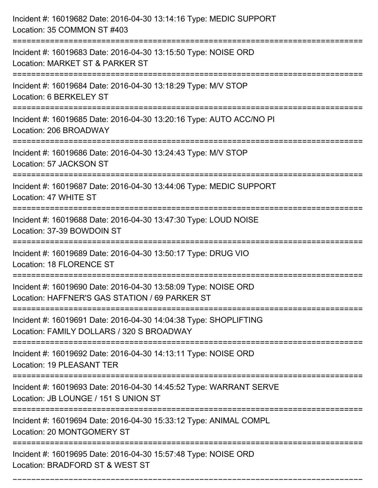| Incident #: 16019682 Date: 2016-04-30 13:14:16 Type: MEDIC SUPPORT<br>Location: 35 COMMON ST #403                                                    |
|------------------------------------------------------------------------------------------------------------------------------------------------------|
| Incident #: 16019683 Date: 2016-04-30 13:15:50 Type: NOISE ORD<br>Location: MARKET ST & PARKER ST                                                    |
| Incident #: 16019684 Date: 2016-04-30 13:18:29 Type: M/V STOP<br>Location: 6 BERKELEY ST                                                             |
| Incident #: 16019685 Date: 2016-04-30 13:20:16 Type: AUTO ACC/NO PI<br>Location: 206 BROADWAY                                                        |
| Incident #: 16019686 Date: 2016-04-30 13:24:43 Type: M/V STOP<br>Location: 57 JACKSON ST                                                             |
| Incident #: 16019687 Date: 2016-04-30 13:44:06 Type: MEDIC SUPPORT<br>Location: 47 WHITE ST                                                          |
| Incident #: 16019688 Date: 2016-04-30 13:47:30 Type: LOUD NOISE<br>Location: 37-39 BOWDOIN ST                                                        |
| Incident #: 16019689 Date: 2016-04-30 13:50:17 Type: DRUG VIO<br>Location: 18 FLORENCE ST                                                            |
| Incident #: 16019690 Date: 2016-04-30 13:58:09 Type: NOISE ORD<br>Location: HAFFNER'S GAS STATION / 69 PARKER ST                                     |
| Incident #: 16019691 Date: 2016-04-30 14:04:38 Type: SHOPLIFTING<br>Location: FAMILY DOLLARS / 320 S BROADWAY<br>----------------------------------- |
| Incident #: 16019692 Date: 2016-04-30 14:13:11 Type: NOISE ORD<br><b>Location: 19 PLEASANT TER</b>                                                   |
| Incident #: 16019693 Date: 2016-04-30 14:45:52 Type: WARRANT SERVE<br>Location: JB LOUNGE / 151 S UNION ST                                           |
| Incident #: 16019694 Date: 2016-04-30 15:33:12 Type: ANIMAL COMPL<br>Location: 20 MONTGOMERY ST                                                      |
| Incident #: 16019695 Date: 2016-04-30 15:57:48 Type: NOISE ORD<br>Location: BRADFORD ST & WEST ST                                                    |

===========================================================================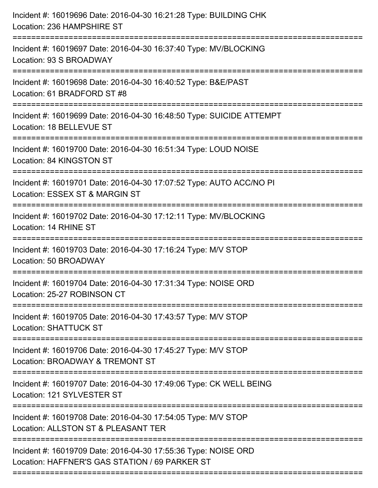| Incident #: 16019696 Date: 2016-04-30 16:21:28 Type: BUILDING CHK<br>Location: 236 HAMPSHIRE ST                                    |
|------------------------------------------------------------------------------------------------------------------------------------|
| ===================================<br>Incident #: 16019697 Date: 2016-04-30 16:37:40 Type: MV/BLOCKING<br>Location: 93 S BROADWAY |
| Incident #: 16019698 Date: 2016-04-30 16:40:52 Type: B&E/PAST<br>Location: 61 BRADFORD ST #8<br>============================       |
| Incident #: 16019699 Date: 2016-04-30 16:48:50 Type: SUICIDE ATTEMPT<br>Location: 18 BELLEVUE ST                                   |
| Incident #: 16019700 Date: 2016-04-30 16:51:34 Type: LOUD NOISE<br>Location: 84 KINGSTON ST                                        |
| Incident #: 16019701 Date: 2016-04-30 17:07:52 Type: AUTO ACC/NO PI<br>Location: ESSEX ST & MARGIN ST                              |
| Incident #: 16019702 Date: 2016-04-30 17:12:11 Type: MV/BLOCKING<br>Location: 14 RHINE ST<br>-----------------------------         |
| Incident #: 16019703 Date: 2016-04-30 17:16:24 Type: M/V STOP<br>Location: 50 BROADWAY                                             |
| Incident #: 16019704 Date: 2016-04-30 17:31:34 Type: NOISE ORD<br>Location: 25-27 ROBINSON CT                                      |
| Incident #: 16019705 Date: 2016-04-30 17:43:57 Type: M/V STOP<br><b>Location: SHATTUCK ST</b>                                      |
| Incident #: 16019706 Date: 2016-04-30 17:45:27 Type: M/V STOP<br>Location: BROADWAY & TREMONT ST                                   |
| Incident #: 16019707 Date: 2016-04-30 17:49:06 Type: CK WELL BEING<br>Location: 121 SYLVESTER ST                                   |
| Incident #: 16019708 Date: 2016-04-30 17:54:05 Type: M/V STOP<br>Location: ALLSTON ST & PLEASANT TER                               |
| Incident #: 16019709 Date: 2016-04-30 17:55:36 Type: NOISE ORD<br>Location: HAFFNER'S GAS STATION / 69 PARKER ST                   |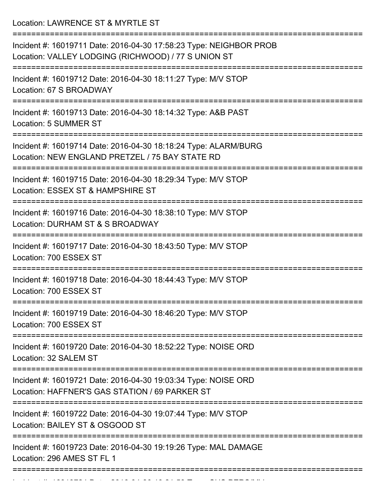Location: LAWRENCE ST & MYRTLE ST

| Incident #: 16019711 Date: 2016-04-30 17:58:23 Type: NEIGHBOR PROB<br>Location: VALLEY LODGING (RICHWOOD) / 77 S UNION ST                               |
|---------------------------------------------------------------------------------------------------------------------------------------------------------|
| Incident #: 16019712 Date: 2016-04-30 18:11:27 Type: M/V STOP<br>Location: 67 S BROADWAY                                                                |
| Incident #: 16019713 Date: 2016-04-30 18:14:32 Type: A&B PAST<br>Location: 5 SUMMER ST                                                                  |
| Incident #: 16019714 Date: 2016-04-30 18:18:24 Type: ALARM/BURG<br>Location: NEW ENGLAND PRETZEL / 75 BAY STATE RD                                      |
| Incident #: 16019715 Date: 2016-04-30 18:29:34 Type: M/V STOP<br>Location: ESSEX ST & HAMPSHIRE ST                                                      |
| Incident #: 16019716 Date: 2016-04-30 18:38:10 Type: M/V STOP<br>Location: DURHAM ST & S BROADWAY                                                       |
| Incident #: 16019717 Date: 2016-04-30 18:43:50 Type: M/V STOP<br>Location: 700 ESSEX ST                                                                 |
| Incident #: 16019718 Date: 2016-04-30 18:44:43 Type: M/V STOP<br>Location: 700 ESSEX ST                                                                 |
| Incident #: 16019719 Date: 2016-04-30 18:46:20 Type: M/V STOP<br>Location: 700 ESSEX ST                                                                 |
| ======================<br>==================================<br>Incident #: 16019720 Date: 2016-04-30 18:52:22 Type: NOISE ORD<br>Location: 32 SALEM ST |
| Incident #: 16019721 Date: 2016-04-30 19:03:34 Type: NOISE ORD<br>Location: HAFFNER'S GAS STATION / 69 PARKER ST                                        |
| ================================<br>Incident #: 16019722 Date: 2016-04-30 19:07:44 Type: M/V STOP<br>Location: BAILEY ST & OSGOOD ST                    |
| Incident #: 16019723 Date: 2016-04-30 19:19:26 Type: MAL DAMAGE<br>Location: 296 AMES ST FL 1                                                           |
|                                                                                                                                                         |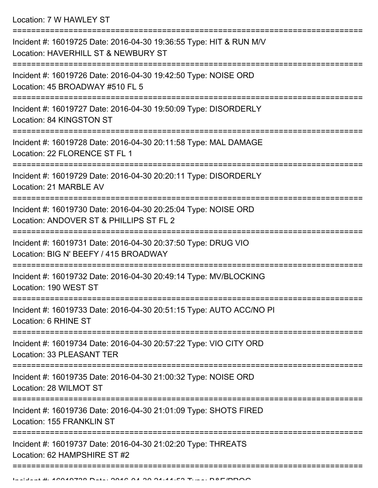Location: 7 W HAWLEY ST

| Incident #: 16019725 Date: 2016-04-30 19:36:55 Type: HIT & RUN M/V<br>Location: HAVERHILL ST & NEWBURY ST |
|-----------------------------------------------------------------------------------------------------------|
| Incident #: 16019726 Date: 2016-04-30 19:42:50 Type: NOISE ORD<br>Location: 45 BROADWAY #510 FL 5         |
| Incident #: 16019727 Date: 2016-04-30 19:50:09 Type: DISORDERLY<br>Location: 84 KINGSTON ST               |
| Incident #: 16019728 Date: 2016-04-30 20:11:58 Type: MAL DAMAGE<br>Location: 22 FLORENCE ST FL 1          |
| Incident #: 16019729 Date: 2016-04-30 20:20:11 Type: DISORDERLY<br>Location: 21 MARBLE AV                 |
| Incident #: 16019730 Date: 2016-04-30 20:25:04 Type: NOISE ORD<br>Location: ANDOVER ST & PHILLIPS ST FL 2 |
| Incident #: 16019731 Date: 2016-04-30 20:37:50 Type: DRUG VIO<br>Location: BIG N' BEEFY / 415 BROADWAY    |
| Incident #: 16019732 Date: 2016-04-30 20:49:14 Type: MV/BLOCKING<br>Location: 190 WEST ST                 |
| Incident #: 16019733 Date: 2016-04-30 20:51:15 Type: AUTO ACC/NO PI<br>Location: 6 RHINE ST               |
| Incident #: 16019734 Date: 2016-04-30 20:57:22 Type: VIO CITY ORD<br>Location: 33 PLEASANT TER            |
| Incident #: 16019735 Date: 2016-04-30 21:00:32 Type: NOISE ORD<br>Location: 28 WILMOT ST                  |
| Incident #: 16019736 Date: 2016-04-30 21:01:09 Type: SHOTS FIRED<br>Location: 155 FRANKLIN ST             |
| Incident #: 16019737 Date: 2016-04-30 21:02:20 Type: THREATS<br>Location: 62 HAMPSHIRE ST #2              |
|                                                                                                           |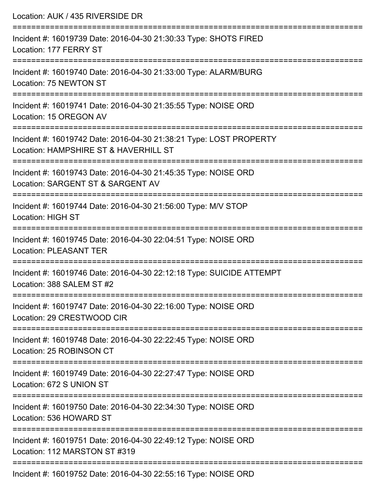| Location: AUK / 435 RIVERSIDE DR                                                                                                                                               |
|--------------------------------------------------------------------------------------------------------------------------------------------------------------------------------|
| Incident #: 16019739 Date: 2016-04-30 21:30:33 Type: SHOTS FIRED<br>Location: 177 FERRY ST                                                                                     |
| Incident #: 16019740 Date: 2016-04-30 21:33:00 Type: ALARM/BURG<br>Location: 75 NEWTON ST                                                                                      |
| Incident #: 16019741 Date: 2016-04-30 21:35:55 Type: NOISE ORD<br>Location: 15 OREGON AV                                                                                       |
| Incident #: 16019742 Date: 2016-04-30 21:38:21 Type: LOST PROPERTY<br>Location: HAMPSHIRE ST & HAVERHILL ST<br>================================<br>:========================== |
| Incident #: 16019743 Date: 2016-04-30 21:45:35 Type: NOISE ORD<br>Location: SARGENT ST & SARGENT AV                                                                            |
| Incident #: 16019744 Date: 2016-04-30 21:56:00 Type: M/V STOP<br><b>Location: HIGH ST</b>                                                                                      |
| Incident #: 16019745 Date: 2016-04-30 22:04:51 Type: NOISE ORD<br><b>Location: PLEASANT TER</b>                                                                                |
| Incident #: 16019746 Date: 2016-04-30 22:12:18 Type: SUICIDE ATTEMPT<br>Location: 388 SALEM ST #2                                                                              |
| Incident #: 16019747 Date: 2016-04-30 22:16:00 Type: NOISE ORD<br>Location: 29 CRESTWOOD CIR                                                                                   |
| Incident #: 16019748 Date: 2016-04-30 22:22:45 Type: NOISE ORD<br>Location: 25 ROBINSON CT                                                                                     |
| Incident #: 16019749 Date: 2016-04-30 22:27:47 Type: NOISE ORD<br>Location: 672 S UNION ST                                                                                     |
| Incident #: 16019750 Date: 2016-04-30 22:34:30 Type: NOISE ORD<br>Location: 536 HOWARD ST                                                                                      |
| Incident #: 16019751 Date: 2016-04-30 22:49:12 Type: NOISE ORD<br>Location: 112 MARSTON ST #319                                                                                |
| Incident #: 16019752 Date: 2016-04-30 22:55:16 Type: NOISE ORD                                                                                                                 |